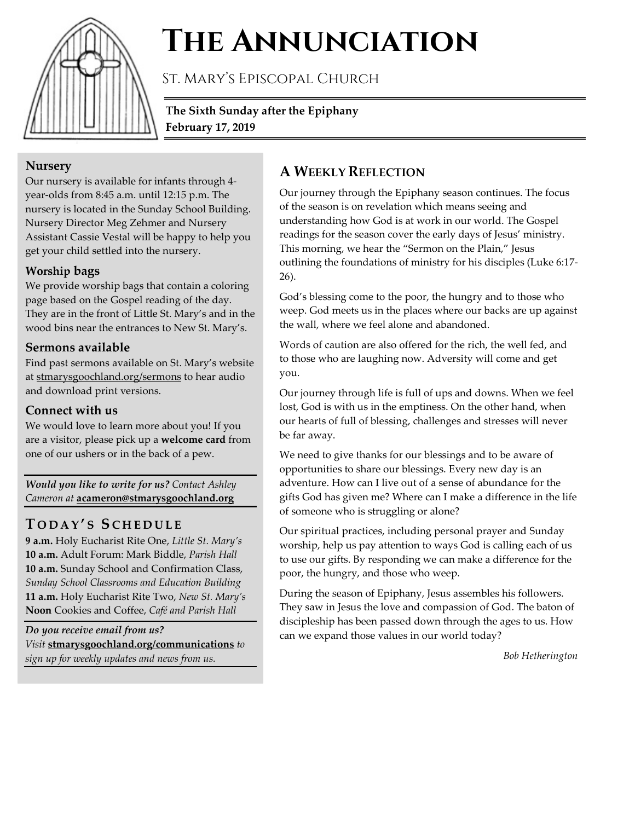

# **The Annunciation**

St. Mary's Episcopal Church

**The Sixth Sunday after the Epiphany February 17, 2019**

## **Nursery**

Our nursery is available for infants through 4 year-olds from 8:45 a.m. until 12:15 p.m. The nursery is located in the Sunday School Building. Nursery Director Meg Zehmer and Nursery Assistant Cassie Vestal will be happy to help you get your child settled into the nursery.

### **Worship bags**

We provide worship bags that contain a coloring page based on the Gospel reading of the day. They are in the front of Little St. Mary's and in the wood bins near the entrances to New St. Mary's.

## **Sermons available**

Find past sermons available on St. Mary's website at stmarysgoochland.org/sermons to hear audio and download print versions.

## **Connect with us**

We would love to learn more about you! If you are a visitor, please pick up a **welcome card** from one of our ushers or in the back of a pew.

*Would you like to write for us? Contact Ashley Cameron at* **acameron@stmarysgoochland.org**

# **T ODAY ' S S CHEDULE**

**9 a.m.** Holy Eucharist Rite One, *Little St. Mary's* **10 a.m.** Adult Forum: Mark Biddle, *Parish Hall* **10 a.m.** Sunday School and Confirmation Class, *Sunday School Classrooms and Education Building* **11 a.m.** Holy Eucharist Rite Two, *New St. Mary's* **Noon** Cookies and Coffee, *Café and Parish Hall*

*Do you receive email from us? Visit* **stmarysgoochland.org/communications** *to sign up for weekly updates and news from us.*

## **A WEEKLY REFLECTION**

Our journey through the Epiphany season continues. The focus of the season is on revelation which means seeing and understanding how God is at work in our world. The Gospel readings for the season cover the early days of Jesus' ministry. This morning, we hear the "Sermon on the Plain," Jesus outlining the foundations of ministry for his disciples (Luke 6:17- 26).

God's blessing come to the poor, the hungry and to those who weep. God meets us in the places where our backs are up against the wall, where we feel alone and abandoned.

Words of caution are also offered for the rich, the well fed, and to those who are laughing now. Adversity will come and get you.

Our journey through life is full of ups and downs. When we feel lost, God is with us in the emptiness. On the other hand, when our hearts of full of blessing, challenges and stresses will never be far away.

We need to give thanks for our blessings and to be aware of opportunities to share our blessings. Every new day is an adventure. How can I live out of a sense of abundance for the gifts God has given me? Where can I make a difference in the life of someone who is struggling or alone?

Our spiritual practices, including personal prayer and Sunday worship, help us pay attention to ways God is calling each of us to use our gifts. By responding we can make a difference for the poor, the hungry, and those who weep.

During the season of Epiphany, Jesus assembles his followers. They saw in Jesus the love and compassion of God. The baton of discipleship has been passed down through the ages to us. How can we expand those values in our world today?

*Bob Hetherington*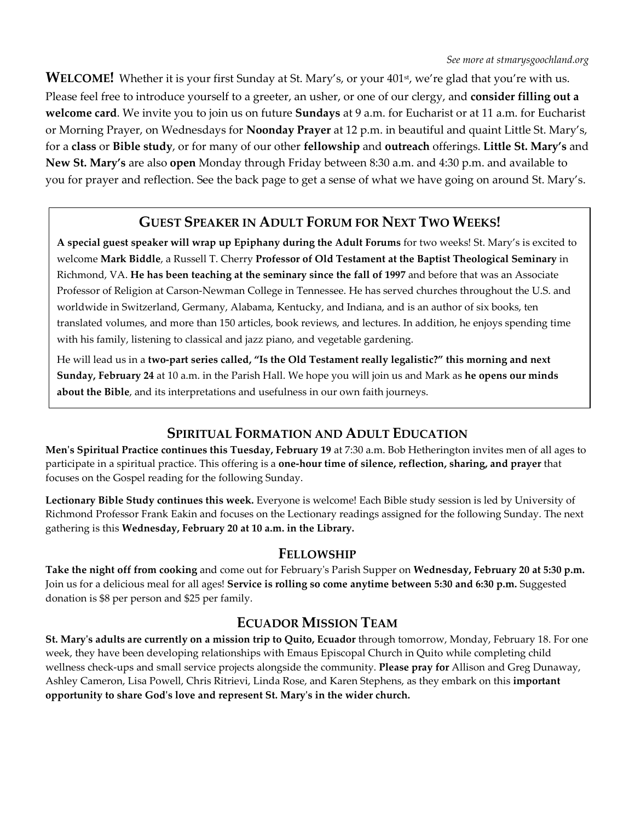WELCOME! Whether it is your first Sunday at St. Mary's, or your 401<sup>st</sup>, we're glad that you're with us. Please feel free to introduce yourself to a greeter, an usher, or one of our clergy, and **consider filling out a welcome card**. We invite you to join us on future **Sundays** at 9 a.m. for Eucharist or at 11 a.m. for Eucharist or Morning Prayer, on Wednesdays for **Noonday Prayer** at 12 p.m. in beautiful and quaint Little St. Mary's, for a **class** or **Bible study**, or for many of our other **fellowship** and **outreach** offerings. **Little St. Mary's** and **New St. Mary's** are also **open** Monday through Friday between 8:30 a.m. and 4:30 p.m. and available to you for prayer and reflection. See the back page to get a sense of what we have going on around St. Mary's.

## **GUEST SPEAKER IN ADULT FORUM FOR NEXT TWO WEEKS!**

**A special guest speaker will wrap up Epiphany during the Adult Forums** for two weeks! St. Mary's is excited to welcome **Mark Biddle**, a Russell T. Cherry **Professor of Old Testament at the Baptist Theological Seminary** in Richmond, VA. **He has been teaching at the seminary since the fall of 1997** and before that was an Associate Professor of Religion at Carson-Newman College in Tennessee. He has served churches throughout the U.S. and worldwide in Switzerland, Germany, Alabama, Kentucky, and Indiana, and is an author of six books, ten translated volumes, and more than 150 articles, book reviews, and lectures. In addition, he enjoys spending time with his family, listening to classical and jazz piano, and vegetable gardening.

He will lead us in a **two-part series called, "Is the Old Testament really legalistic?" this morning and next Sunday, February 24** at 10 a.m. in the Parish Hall. We hope you will join us and Mark as **he opens our minds about the Bible**, and its interpretations and usefulness in our own faith journeys.

## **SPIRITUAL FORMATION AND ADULT EDUCATION**

**Men's Spiritual Practice continues this Tuesday, February 19** at 7:30 a.m. Bob Hetherington invites men of all ages to participate in a spiritual practice. This offering is a **one-hour time of silence, reflection, sharing, and prayer** that focuses on the Gospel reading for the following Sunday.

**Lectionary Bible Study continues this week.** Everyone is welcome! Each Bible study session is led by University of Richmond Professor Frank Eakin and focuses on the Lectionary readings assigned for the following Sunday. The next gathering is this **Wednesday, February 20 at 10 a.m. in the Library.**

#### **FELLOWSHIP**

**Take the night off from cooking** and come out for February's Parish Supper on **Wednesday, February 20 at 5:30 p.m.** Join us for a delicious meal for all ages! **Service is rolling so come anytime between 5:30 and 6:30 p.m.** Suggested donation is \$8 per person and \$25 per family.

## **ECUADOR MISSION TEAM**

**St. Mary's adults are currently on a mission trip to Quito, Ecuador** through tomorrow, Monday, February 18. For one week, they have been developing relationships with Emaus Episcopal Church in Quito while completing child wellness check-ups and small service projects alongside the community. **Please pray for** Allison and Greg Dunaway, Ashley Cameron, Lisa Powell, Chris Ritrievi, Linda Rose, and Karen Stephens, as they embark on this **important opportunity to share God's love and represent St. Mary's in the wider church.**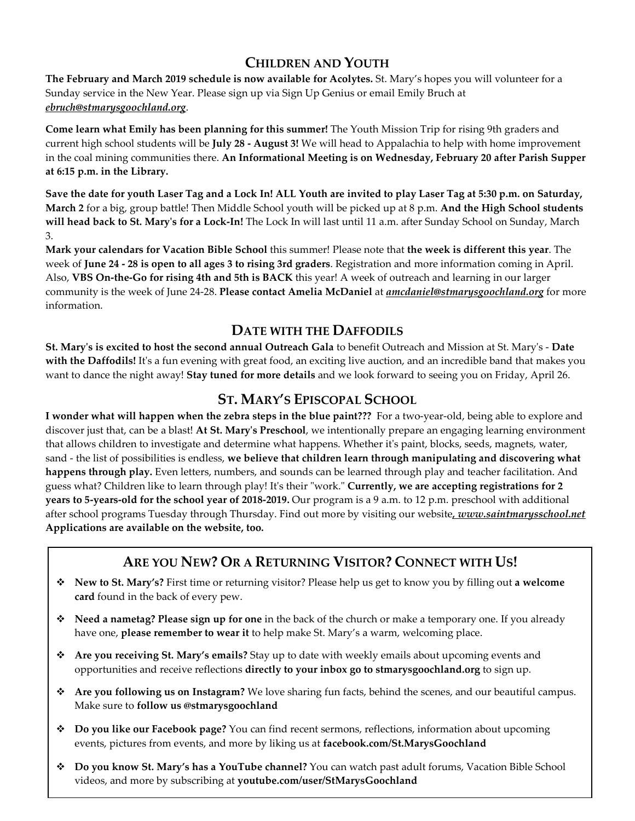## **CHILDREN AND YOUTH**

**The February and March 2019 schedule is now available for Acolytes.** St. Mary's hopes you will volunteer for a Sunday service in the New Year. Please sign up via Sign Up Genius or email Emily Bruch at *ebruch@stmarysgoochland.org*.

**Come learn what Emily has been planning for this summer!** The Youth Mission Trip for rising 9th graders and current high school students will be **July 28 - August 3!** We will head to Appalachia to help with home improvement in the coal mining communities there. **An Informational Meeting is on Wednesday, February 20 after Parish Supper at 6:15 p.m. in the Library.**

**Save the date for youth Laser Tag and a Lock In! ALL Youth are invited to play Laser Tag at 5:30 p.m. on Saturday, March 2** for a big, group battle! Then Middle School youth will be picked up at 8 p.m. **And the High School students will head back to St. Mary's for a Lock-In!** The Lock In will last until 11 a.m. after Sunday School on Sunday, March 3.

**Mark your calendars for Vacation Bible School** this summer! Please note that **the week is different this year**. The week of **June 24 - 28 is open to all ages 3 to rising 3rd graders**. Registration and more information coming in April. Also, **VBS On-the-Go for rising 4th and 5th is BACK** this year! A week of outreach and learning in our larger community is the week of June 24-28. **Please contact Amelia McDaniel** at *amcdaniel@stmarysgoochland.org* for more information.

## **DATE WITH THE DAFFODILS**

**St. Mary's is excited to host the second annual Outreach Gala** to benefit Outreach and Mission at St. Mary's - **Date with the Daffodils!** It's a fun evening with great food, an exciting live auction, and an incredible band that makes you want to dance the night away! **Stay tuned for more details** and we look forward to seeing you on Friday, April 26.

## **ST. MARY'S EPISCOPAL SCHOOL**

**I wonder what will happen when the zebra steps in the blue paint???** For a two-year-old, being able to explore and discover just that, can be a blast! **At St. Mary's Preschool**, we intentionally prepare an engaging learning environment that allows children to investigate and determine what happens. Whether it's paint, blocks, seeds, magnets, water, sand - the list of possibilities is endless, **we believe that children learn through manipulating and discovering what happens through play.** Even letters, numbers, and sounds can be learned through play and teacher facilitation. And guess what? Children like to learn through play! It's their "work." **Currently, we are accepting registrations for 2 years to 5-years-old for the school year of 2018-2019.** Our program is a 9 a.m. to 12 p.m. preschool with additional after school programs Tuesday through Thursday. Find out more by visiting our website*, www.saintmarysschool.net* **Applications are available on the website, too.**

## **ARE YOU NEW? OR A RETURNING VISITOR? CONNECT WITH US!**

- **New to St. Mary's?** First time or returning visitor? Please help us get to know you by filling out **a welcome card** found in the back of every pew.
- **Need a nametag? Please sign up for one** in the back of the church or make a temporary one. If you already have one, **please remember to wear it** to help make St. Mary's a warm, welcoming place.
- **Are you receiving St. Mary's emails?** Stay up to date with weekly emails about upcoming events and opportunities and receive reflections **directly to your inbox go to stmarysgoochland.org** to sign up.
- **Are you following us on Instagram?** We love sharing fun facts, behind the scenes, and our beautiful campus. Make sure to **follow us @stmarysgoochland**
- **Do you like our Facebook page?** You can find recent sermons, reflections, information about upcoming events, pictures from events, and more by liking us at **facebook.com/St.MarysGoochland**
- **Do you know St. Mary's has a YouTube channel?** You can watch past adult forums, Vacation Bible School videos, and more by subscribing at **youtube.com/user/StMarysGoochland**